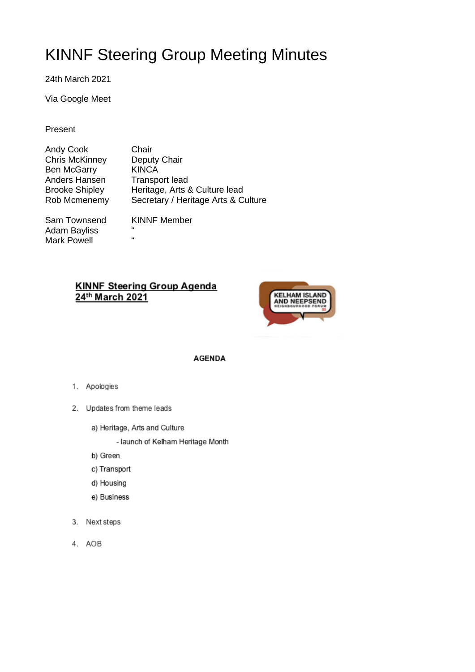# KINNF Steering Group Meeting Minutes

24th March 2021

Via Google Meet

#### Present

| <b>Andy Cook</b>      | Chair                               |
|-----------------------|-------------------------------------|
| <b>Chris McKinney</b> | Deputy Chair                        |
| <b>Ben McGarry</b>    | <b>KINCA</b>                        |
| Anders Hansen         | <b>Transport lead</b>               |
| <b>Brooke Shipley</b> | Heritage, Arts & Culture lead       |
| Rob Mcmenemy          | Secretary / Heritage Arts & Culture |
|                       |                                     |
| Sam Townsond          | KINNE Mombor                        |

Adam Bayliss "<br>Mark Roycll " Mark Powell

Sam Townsend KINNF Member<br>Adam Bayliss "

# **KINNF Steering Group Agenda** 24th March 2021



**AGENDA** 

- 1. Apologies
- 2. Updates from theme leads
	- a) Heritage, Arts and Culture
		- launch of Kelham Heritage Month
	- b) Green
	- c) Transport
	- d) Housing
	- e) Business
- 3. Next steps
- 4. AOB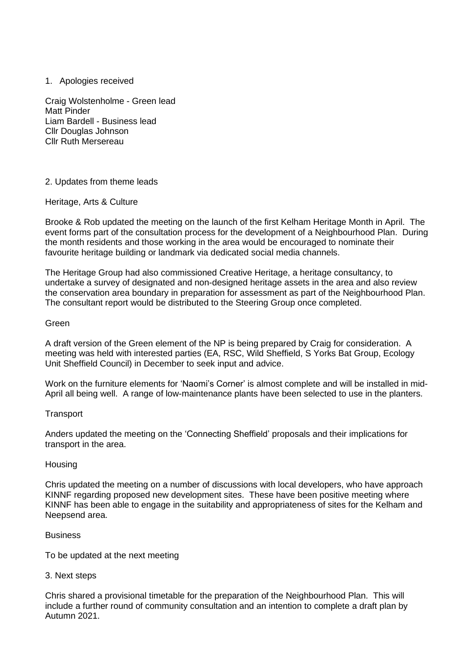# 1. Apologies received

Craig Wolstenholme - Green lead Matt Pinder Liam Bardell - Business lead Cllr Douglas Johnson Cllr Ruth Mersereau

# 2. Updates from theme leads

#### Heritage, Arts & Culture

Brooke & Rob updated the meeting on the launch of the first Kelham Heritage Month in April. The event forms part of the consultation process for the development of a Neighbourhood Plan. During the month residents and those working in the area would be encouraged to nominate their favourite heritage building or landmark via dedicated social media channels.

The Heritage Group had also commissioned Creative Heritage, a heritage consultancy, to undertake a survey of designated and non-designed heritage assets in the area and also review the conservation area boundary in preparation for assessment as part of the Neighbourhood Plan. The consultant report would be distributed to the Steering Group once completed.

#### Green

A draft version of the Green element of the NP is being prepared by Craig for consideration. A meeting was held with interested parties (EA, RSC, Wild Sheffield, S Yorks Bat Group, Ecology Unit Sheffield Council) in December to seek input and advice.

Work on the furniture elements for 'Naomi's Corner' is almost complete and will be installed in mid-April all being well. A range of low-maintenance plants have been selected to use in the planters.

# **Transport**

Anders updated the meeting on the 'Connecting Sheffield' proposals and their implications for transport in the area.

#### **Housing**

Chris updated the meeting on a number of discussions with local developers, who have approach KINNF regarding proposed new development sites. These have been positive meeting where KINNF has been able to engage in the suitability and appropriateness of sites for the Kelham and Neepsend area.

#### **Business**

To be updated at the next meeting

3. Next steps

Chris shared a provisional timetable for the preparation of the Neighbourhood Plan. This will include a further round of community consultation and an intention to complete a draft plan by Autumn 2021.